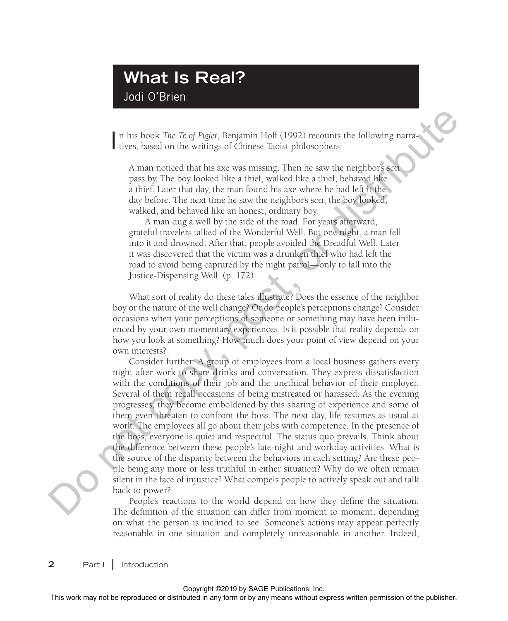# **What Is Real?** Jodi O'Brien

In his book *The Te of Piglet*, Benjamin Hoff (1992) recounts tives, based on the writings of Chinese Taoist philosophers: n his book *The Te of Piglet*, Benjamin Hoff (1992) recounts the following narra-

A man noticed that his axe was missing. Then he saw the neighbor's son pass by. The boy looked like a thief, walked like a thief, behaved like a thief. Later that day, the man found his axe where he had left it the day before. The next time he saw the neighbor's son, the boy looked, walked, and behaved like an honest, ordinary boy.

A man dug a well by the side of the road. For years afterward, grateful travelers talked of the Wonderful Well. But one night, a man fell into it and drowned. After that, people avoided the Dreadful Well. Later it was discovered that the victim was a drunken thief who had left the road to avoid being captured by the night patrol—only to fall into the Justice-Dispensing Well. (p. 172)

What sort of reality do these tales illustrate? Does the essence of the neighbor boy or the nature of the well change? Or do people's perceptions change? Consider occasions when your perceptions of someone or something may have been influenced by your own momentary experiences. Is it possible that reality depends on how you look at something? How much does your point of view depend on your own interests?

Consider further: A group of employees from a local business gathers every night after work to share drinks and conversation. They express dissatisfaction with the conditions of their job and the unethical behavior of their employer. Several of them recall occasions of being mistreated or harassed. As the evening progresses, they become emboldened by this sharing of experience and some of them even threaten to confront the boss. The next day, life resumes as usual at work. The employees all go about their jobs with competence. In the presence of the boss, everyone is quiet and respectful. The status quo prevails. Think about the difference between these people's late-night and workday activities. What is the source of the disparity between the behaviors in each setting? Are these people being any more or less truthful in either situation? Why do we often remain silent in the face of injustice? What compels people to actively speak out and talk back to power? This Space The Te gringlet, Required Elast genetical permission or distributed in any form or distributed in any form or both any form or both any form or both any form or both and the results of the reproduced in a strib

People's reactions to the world depend on how they define the situation. The definition of the situation can differ from moment to moment, depending on what the person is inclined to see. Someone's actions may appear perfectly reasonable in one situation and completely unreasonable in another. Indeed,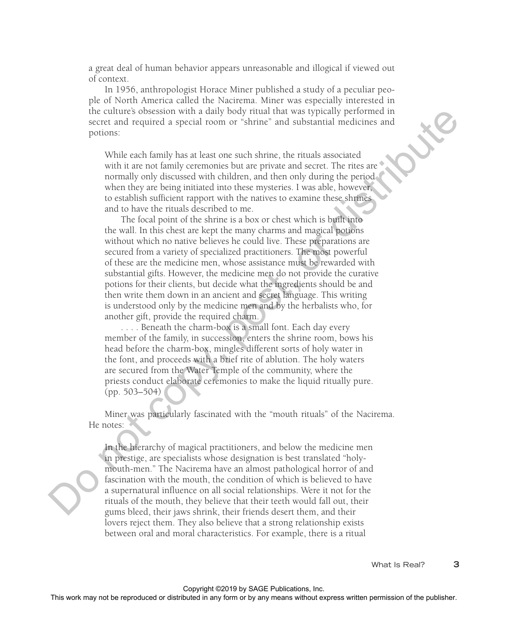a great deal of human behavior appears unreasonable and illogical if viewed out of context.

In 1956, anthropologist Horace Miner published a study of a peculiar people of North America called the Nacirema. Miner was especially interested in the culture's obsession with a daily body ritual that was typically performed in secret and required a special room or "shrine" and substantial medicines and potions:

While each family has at least one such shrine, the rituals associated with it are not family ceremonies but are private and secret. The rites are normally only discussed with children, and then only during the period when they are being initiated into these mysteries. I was able, however, to establish sufficient rapport with the natives to examine these shrines and to have the rituals described to me.

The focal point of the shrine is a box or chest which is built into the wall. In this chest are kept the many charms and magical potions without which no native believes he could live. These preparations are secured from a variety of specialized practitioners. The most powerful of these are the medicine men, whose assistance must be rewarded with substantial gifts. However, the medicine men do not provide the curative potions for their clients, but decide what the ingredients should be and then write them down in an ancient and secret language. This writing is understood only by the medicine men and by the herbalists who, for another gift, provide the required charm. the cultures is observed from the value of the reproduced or distributed in any first and points. What is an expression with the reproduced or the publisher or distributed in a prior of the publisher. The relation or the

. . . . Beneath the charm-box is a small font. Each day every member of the family, in succession, enters the shrine room, bows his head before the charm-box, mingles different sorts of holy water in the font, and proceeds with a brief rite of ablution. The holy waters are secured from the Water Temple of the community, where the priests conduct elaborate ceremonies to make the liquid ritually pure. (pp. 503–504)

Miner was particularly fascinated with the "mouth rituals" of the Nacirema. He notes:

In the hierarchy of magical practitioners, and below the medicine men in prestige, are specialists whose designation is best translated "holymouth-men." The Nacirema have an almost pathological horror of and fascination with the mouth, the condition of which is believed to have a supernatural influence on all social relationships. Were it not for the rituals of the mouth, they believe that their teeth would fall out, their gums bleed, their jaws shrink, their friends desert them, and their lovers reject them. They also believe that a strong relationship exists between oral and moral characteristics. For example, there is a ritual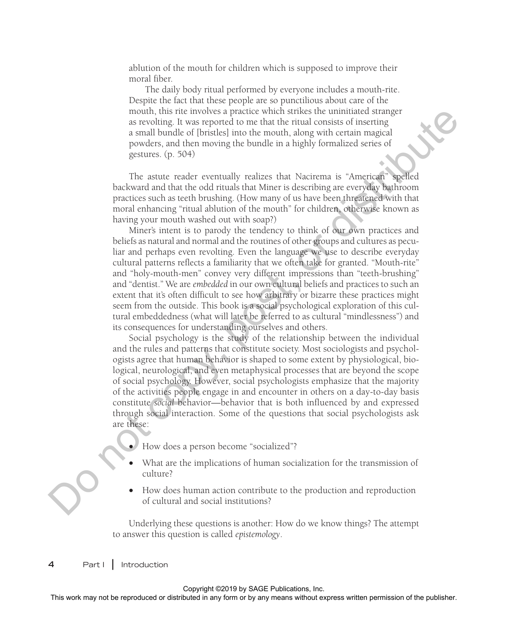ablution of the mouth for children which is supposed to improve their moral fiber.

The daily body ritual performed by everyone includes a mouth-rite. Despite the fact that these people are so punctilious about care of the mouth, this rite involves a practice which strikes the uninitiated stranger as revolting. It was reported to me that the ritual consists of inserting a small bundle of [bristles] into the mouth, along with certain magical powders, and then moving the bundle in a highly formalized series of gestures. (p. 504)

The astute reader eventually realizes that Nacirema is "American" spelled backward and that the odd rituals that Miner is describing are everyday bathroom practices such as teeth brushing. (How many of us have been threatened with that moral enhancing "ritual ablution of the mouth" for children, otherwise known as having your mouth washed out with soap?)

Miner's intent is to parody the tendency to think of our own practices and beliefs as natural and normal and the routines of other groups and cultures as peculiar and perhaps even revolting. Even the language we use to describe everyday cultural patterns reflects a familiarity that we often take for granted. "Mouth-rite" and "holy-mouth-men" convey very different impressions than "teeth-brushing" and "dentist." We are *embedded* in our own cultural beliefs and practices to such an extent that it's often difficult to see how arbitrary or bizarre these practices might seem from the outside. This book is a social psychological exploration of this cultural embeddedness (what will later be referred to as cultural "mindlessness") and its consequences for understanding ourselves and others. may not be repressed to the reproduced or distributed interior distributed in any form of the reproduced by any form or by any form or by any means without express the control or the publishers have the publisher. This ca

Social psychology is the study of the relationship between the individual and the rules and patterns that constitute society. Most sociologists and psychologists agree that human behavior is shaped to some extent by physiological, biological, neurological, and even metaphysical processes that are beyond the scope of social psychology. However, social psychologists emphasize that the majority of the activities people engage in and encounter in others on a day-to-day basis constitute *social* behavior—behavior that is both influenced by and expressed through social interaction. Some of the questions that social psychologists ask are these:

- How does a person become "socialized"?
- What are the implications of human socialization for the transmission of culture?
- How does human action contribute to the production and reproduction of cultural and social institutions?

Underlying these questions is another: How do we know things? The attempt to answer this question is called *epistemology*.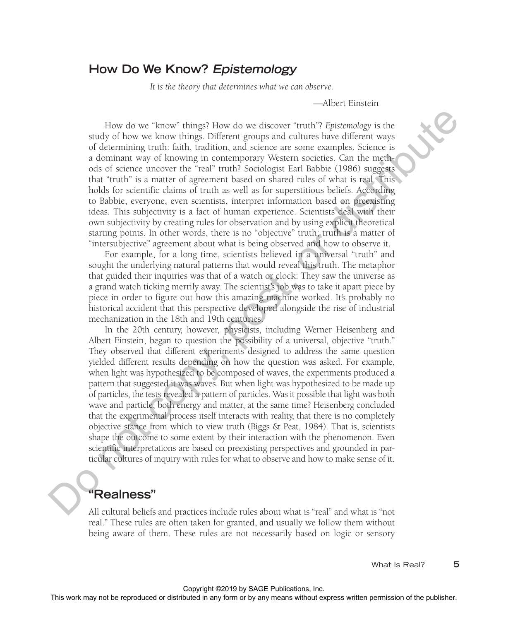#### **How Do We Know? Epistemology**

*It is the theory that determines what we can observe.*

—Albert Einstein

How do we "know" things? How do we discover "truth"? *Epistemology* is the study of how we know things. Different groups and cultures have different ways of determining truth: faith, tradition, and science are some examples. Science is a dominant way of knowing in contemporary Western societies. Can the methods of science uncover the "real" truth? Sociologist Earl Babbie (1986) suggests that "truth" is a matter of agreement based on shared rules of what is real. This holds for scientific claims of truth as well as for superstitious beliefs. According to Babbie, everyone, even scientists, interpret information based on preexisting ideas. This subjectivity is a fact of human experience. Scientists deal with their own subjectivity by creating rules for observation and by using explicit theoretical starting points. In other words, there is no "objective" truth; truth is a matter of "intersubjective" agreement about what is being observed and how to observe it.

For example, for a long time, scientists believed in a universal "truth" and sought the underlying natural patterns that would reveal this truth. The metaphor that guided their inquiries was that of a watch or clock: They saw the universe as a grand watch ticking merrily away. The scientist's job was to take it apart piece by piece in order to figure out how this amazing machine worked. It's probably no historical accident that this perspective developed alongside the rise of industrial mechanization in the 18th and 19th centuries.

In the 20th century, however, physicists, including Werner Heisenberg and Albert Einstein, began to question the possibility of a universal, objective "truth." They observed that different experiments designed to address the same question yielded different results depending on how the question was asked. For example, when light was hypothesized to be composed of waves, the experiments produced a pattern that suggested it was waves. But when light was hypothesized to be made up of particles, the tests revealed a pattern of particles. Was it possible that light was both wave and particle, both energy and matter, at the same time? Heisenberg concluded that the experimental process itself interacts with reality, that there is no completely objective stance from which to view truth (Biggs & Peat, 1984). That is, scientists shape the outcome to some extent by their interaction with the phenomenon. Even scientific interpretations are based on preexisting perspectives and grounded in particular cultures of inquiry with rules for what to observe and how to make sense of it. These or the terms intered or the range and control in a control in any form or between the reproduced or distributed in any means with the reproduced or the reproduced in a control in a control in a company in the reprod

### **"Realness"**

All cultural beliefs and practices include rules about what is "real" and what is "not real." These rules are often taken for granted, and usually we follow them without being aware of them. These rules are not necessarily based on logic or sensory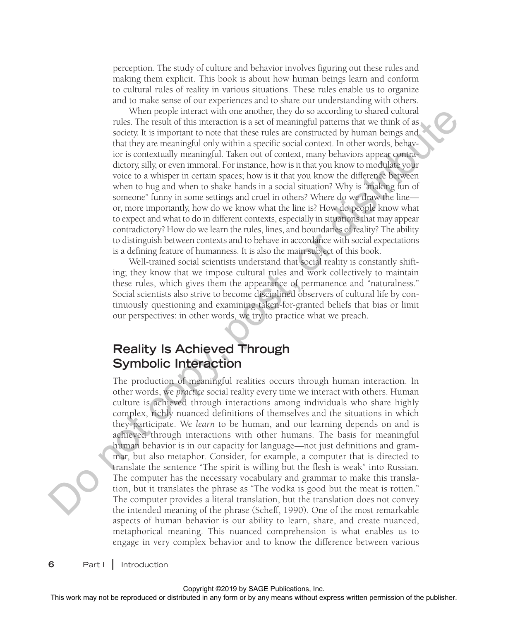perception. The study of culture and behavior involves figuring out these rules and making them explicit. This book is about how human beings learn and conform to cultural rules of reality in various situations. These rules enable us to organize and to make sense of our experiences and to share our understanding with others.

When people interact with one another, they do so according to shared cultural rules. The result of this interaction is a set of meaningful patterns that we think of as society. It is important to note that these rules are constructed by human beings and that they are meaningful only within a specific social context. In other words, behavior is contextually meaningful. Taken out of context, many behaviors appear contradictory, silly, or even immoral. For instance, how is it that you know to modulate your voice to a whisper in certain spaces; how is it that you know the difference between when to hug and when to shake hands in a social situation? Why is "making fun of someone" funny in some settings and cruel in others? Where do we draw the line or, more importantly, how do we know what the line is? How do people know what to expect and what to do in different contexts, especially in situations that may appear contradictory? How do we learn the rules, lines, and boundaries of reality? The ability to distinguish between contexts and to behave in accordance with social expectations is a defining feature of humanness. It is also the main subject of this book.

Well-trained social scientists understand that social reality is constantly shifting; they know that we impose cultural rules and work collectively to maintain these rules, which gives them the appearance of permanence and "naturalness." Social scientists also strive to become disciplined observers of cultural life by continuously questioning and examining taken-for-granted beliefs that bias or limit our perspectives: in other words, we try to practice what we preach.

## **Reality Is Achieved Through Symbolic Interaction**

The production of meaningful realities occurs through human interaction. In other words, we *practice* social reality every time we interact with others. Human culture is achieved through interactions among individuals who share highly complex, richly nuanced definitions of themselves and the situations in which they participate. We *learn* to be human, and our learning depends on and is achieved through interactions with other humans. The basis for meaningful human behavior is in our capacity for language—not just definitions and grammar, but also metaphor. Consider, for example, a computer that is directed to translate the sentence "The spirit is willing but the flesh is weak" into Russian. The computer has the necessary vocabulary and grammar to make this translation, but it translates the phrase as "The vodka is good but the meat is rotten." The computer provides a literal translation, but the translation does not convey the intended meaning of the phrase (Scheff, 1990). One of the most remarkable aspects of human behavior is our ability to learn, share, and create nuanced, metaphorical meaning. This nuanced comprehension is what enables us to engage in very complex behavior and to know the difference between various We can be represented to the reproduced or distributed or distributed in any form or by a set of the reproduced in any form or by any or by any form or by any means we reproduced by the reproduced in any form or by any me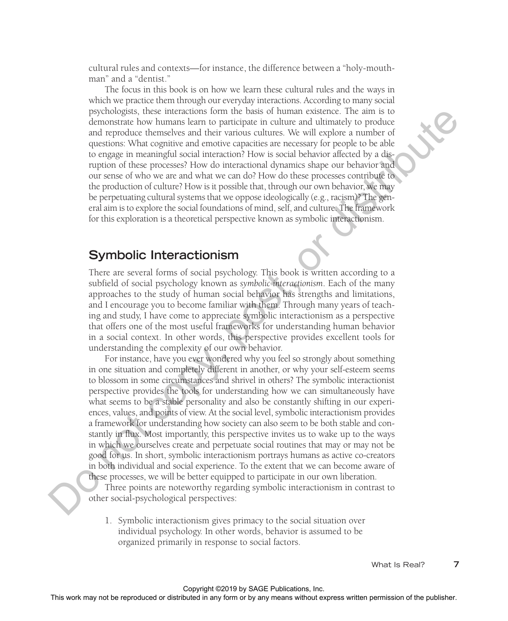cultural rules and contexts—for instance, the difference between a "holy-mouthman" and a "dentist."

The focus in this book is on how we learn these cultural rules and the ways in which we practice them through our everyday interactions. According to many social psychologists, these interactions form the basis of human existence. The aim is to demonstrate how humans learn to participate in culture and ultimately to produce and reproduce themselves and their various cultures. We will explore a number of questions: What cognitive and emotive capacities are necessary for people to be able to engage in meaningful social interaction? How is social behavior affected by a disruption of these processes? How do interactional dynamics shape our behavior and our sense of who we are and what we can do? How do these processes contribute to the production of culture? How is it possible that, through our own behavior, we may be perpetuating cultural systems that we oppose ideologically (e.g., racism)? The general aim is to explore the social foundations of mind, self, and culture. The framework for this exploration is a theoretical perspective known as symbolic interactionism.

## **Symbolic Interactionism**

There are several forms of social psychology. This book is written according to a subfield of social psychology known as *symbolic interactionism*. Each of the many approaches to the study of human social behavior has strengths and limitations, and I encourage you to become familiar with them. Through many years of teaching and study, I have come to appreciate symbolic interactionism as a perspective that offers one of the most useful frameworks for understanding human behavior in a social context. In other words, this perspective provides excellent tools for understanding the complexity of our own behavior.

For instance, have you ever wondered why you feel so strongly about something in one situation and completely different in another, or why your self-esteem seems to blossom in some circumstances and shrivel in others? The symbolic interactionist perspective provides the tools for understanding how we can simultaneously have what seems to be a stable personality and also be constantly shifting in our experiences, values, and points of view. At the social level, symbolic interactionism provides a framework for understanding how society can also seem to be both stable and constantly in flux. Most importantly, this perspective invites us to wake up to the ways in which we ourselves create and perpetuate social routines that may or may not be good for us. In short, symbolic interactionism portrays humans as active co-creators in both individual and social experience. To the extent that we can become aware of these processes, we will be better equipped to participate in our own liberation. pythologies, these interactions that the basis of harmonic sesence. The aim is considered in any measure of the state or distributed in any means when the properties of the state of the product the publisher. The conseque

Three points are noteworthy regarding symbolic interactionism in contrast to other social-psychological perspectives:

1. Symbolic interactionism gives primacy to the social situation over individual psychology. In other words, behavior is assumed to be organized primarily in response to social factors.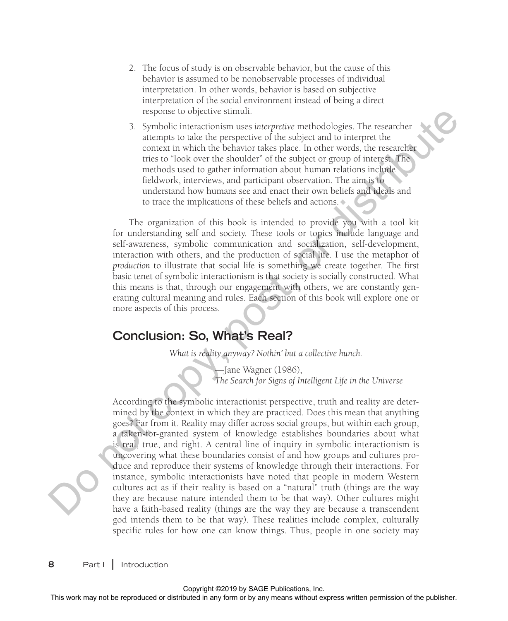- 2. The focus of study is on observable behavior, but the cause of this behavior is assumed to be nonobservable processes of individual interpretation. In other words, behavior is based on subjective interpretation of the social environment instead of being a direct response to objective stimuli.
- 3. Symbolic interactionism uses *interpretive* methodologies. The researcher attempts to take the perspective of the subject and to interpret the context in which the behavior takes place. In other words, the researcher tries to "look over the shoulder" of the subject or group of interest. The methods used to gather information about human relations include fieldwork, interviews, and participant observation. The aim is to understand how humans see and enact their own beliefs and ideals and to trace the implications of these beliefs and actions.

The organization of this book is intended to provide you with a tool kit for understanding self and society. These tools or topics include language and self-awareness, symbolic communication and socialization, self-development, interaction with others, and the production of social life. I use the metaphor of *production* to illustrate that social life is something we create together. The first basic tenet of symbolic interactionism is that society is socially constructed. What this means is that, through our engagement with others, we are constantly generating cultural meaning and rules. Each section of this book will explore one or more aspects of this process.

## **Conclusion: So, What's Real?**

*What is reality anyway? Nothin' but a collective hunch.*

—Jane Wagner (1986), *The Search for Signs of Intelligent Life in the Universe*

According to the symbolic interactionist perspective, truth and reality are determined by the context in which they are practiced. Does this mean that anything goes? Far from it. Reality may differ across social groups, but within each group, a taken-for-granted system of knowledge establishes boundaries about what is real, true, and right. A central line of inquiry in symbolic interactionism is uncovering what these boundaries consist of and how groups and cultures produce and reproduce their systems of knowledge through their interactions. For instance, symbolic interactionists have noted that people in modern Western cultures act as if their reality is based on a "natural" truth (things are the way they are because nature intended them to be that way). Other cultures might have a faith-based reality (things are the way they are because a transcendent god intends them to be that way). These realities include complex, culturally specific rules for how one can know things. Thus, people in one society may The model of the produced or distributed in the repression of the publisher and the reproduced or distributed in any form or by any form or by any form or by any form or by any form or be reproduced to publish the publish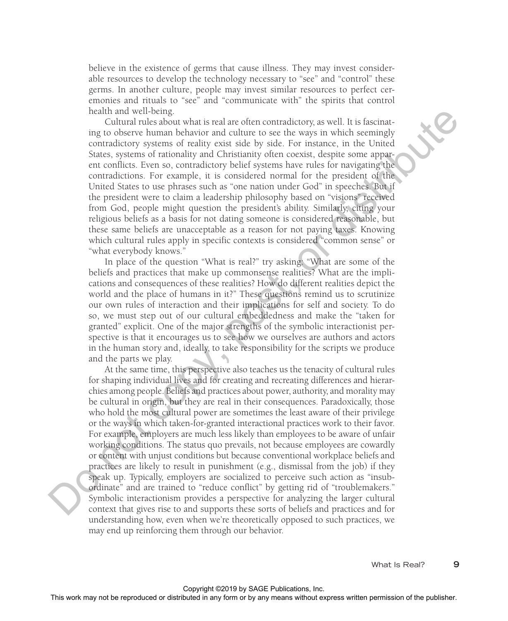believe in the existence of germs that cause illness. They may invest considerable resources to develop the technology necessary to "see" and "control" these germs. In another culture, people may invest similar resources to perfect ceremonies and rituals to "see" and "communicate with" the spirits that control health and well-being.

Cultural rules about what is real are often contradictory, as well. It is fascinating to observe human behavior and culture to see the ways in which seemingly contradictory systems of reality exist side by side. For instance, in the United States, systems of rationality and Christianity often coexist, despite some apparent conflicts. Even so, contradictory belief systems have rules for navigating the contradictions. For example, it is considered normal for the president of the United States to use phrases such as "one nation under God" in speeches. But if the president were to claim a leadership philosophy based on "visions" received from God, people might question the president's ability. Similarly, citing your religious beliefs as a basis for not dating someone is considered reasonable, but these same beliefs are unacceptable as a reason for not paying taxes. Knowing which cultural rules apply in specific contexts is considered "common sense" or "what everybody knows."

In place of the question "What is real?" try asking: "What are some of the beliefs and practices that make up commonsense realities? What are the implications and consequences of these realities? How do different realities depict the world and the place of humans in it?" These questions remind us to scrutinize our own rules of interaction and their implications for self and society. To do so, we must step out of our cultural embeddedness and make the "taken for granted" explicit. One of the major strengths of the symbolic interactionist perspective is that it encourages us to see how we ourselves are authors and actors in the human story and, ideally, to take responsibility for the scripts we produce and the parts we play.

At the same time, this perspective also teaches us the tenacity of cultural rules for shaping individual lives and for creating and recreating differences and hierarchies among people. Beliefs and practices about power, authority, and morality may be cultural in origin, but they are real in their consequences. Paradoxically, those who hold the most cultural power are sometimes the least aware of their privilege or the ways in which taken-for-granted interactional practices work to their favor. For example, employers are much less likely than employees to be aware of unfair working conditions. The status quo prevails, not because employees are cowardly or content with unjust conditions but because conventional workplace beliefs and practices are likely to result in punishment (e.g., dismissal from the job) if they speak up. Typically, employers are socialized to perceive such action as "insubordinate" and are trained to "reduce conflict" by getting rid of "troublemakers." Symbolic interactionism provides a perspective for analyzing the larger cultural context that gives rise to and supports these sorts of beliefs and practices and for understanding how, even when we're theoretically opposed to such practices, we may end up reinforcing them through our behavior. The interaction of the reproduced or distributed or distributed or the publisher and the reproduced or distributed in any means when the reproduced or the publisher of the publisher and the publisher and the publisher and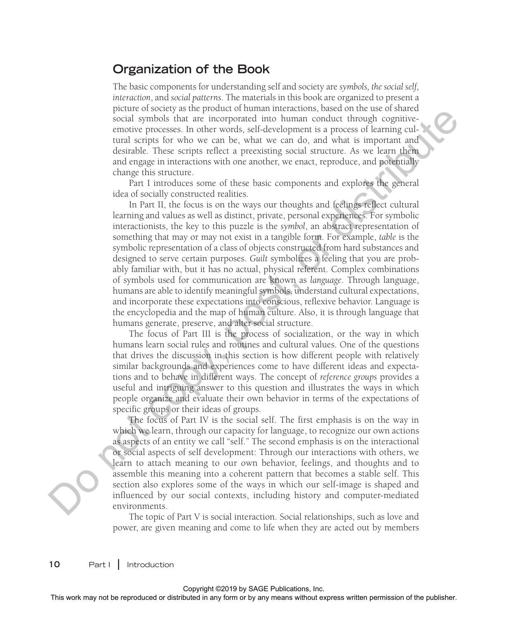### **Organization of the Book**

The basic components for understanding self and society are *symbols, the social self, interaction*, and *social patterns*. The materials in this book are organized to present a picture of society as the product of human interactions, based on the use of shared social symbols that are incorporated into human conduct through cognitiveemotive processes. In other words, self-development is a process of learning cultural scripts for who we can be, what we can do, and what is important and desirable. These scripts reflect a preexisting social structure. As we learn them and engage in interactions with one another, we enact, reproduce, and potentially change this structure.

Part I introduces some of these basic components and explores the general idea of socially constructed realities.

In Part II, the focus is on the ways our thoughts and feelings reflect cultural learning and values as well as distinct, private, personal experiences. For symbolic interactionists, the key to this puzzle is the *symbol*, an abstract representation of something that may or may not exist in a tangible form. For example, *table* is the symbolic representation of a class of objects constructed from hard substances and designed to serve certain purposes. *Guilt* symbolizes a feeling that you are probably familiar with, but it has no actual, physical referent. Complex combinations of symbols used for communication are known as *language*. Through language, humans are able to identify meaningful symbols, understand cultural expectations, and incorporate these expectations into conscious, reflexive behavior. Language is the encyclopedia and the map of human culture. Also, it is through language that humans generate, preserve, and alter social structure. From the representation of a close of the representation or by any form or by any form or by any means with the representation of the representation of the representation of the representation of the representation of the

The focus of Part III is the process of socialization, or the way in which humans learn social rules and routines and cultural values. One of the questions that drives the discussion in this section is how different people with relatively similar backgrounds and experiences come to have different ideas and expectations and to behave in different ways. The concept of *reference groups* provides a useful and intriguing answer to this question and illustrates the ways in which people organize and evaluate their own behavior in terms of the expectations of specific groups or their ideas of groups.

The focus of Part IV is the social self. The first emphasis is on the way in which we learn, through our capacity for language, to recognize our own actions as aspects of an entity we call "self." The second emphasis is on the interactional or social aspects of self development: Through our interactions with others, we learn to attach meaning to our own behavior, feelings, and thoughts and to assemble this meaning into a coherent pattern that becomes a stable self. This section also explores some of the ways in which our self-image is shaped and influenced by our social contexts, including history and computer-mediated environments.

The topic of Part V is social interaction. Social relationships, such as love and power, are given meaning and come to life when they are acted out by members